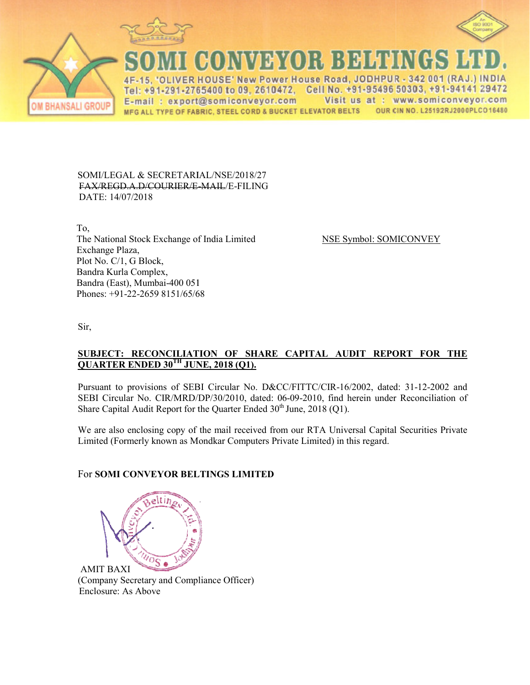





CONVEYOR BEHEN

IVER HOUSE' New Power House Road, JODHPUR - 342 001 (RAJ.) INDIA Tel: +91-291-2765400 to 09, 2610472, Cell No. +91-95496 50303, +91-94141 29472 Visit us at : www.somiconveyor.com E-mail: export@somiconveyor.com MFG ALL TYPE OF FABRIC, STEEL CORD & BUCKET ELEVATOR BELTS OUR CIN NO. L25192RJ2000PLCO16480

#### SOMI/LEGAL & SECRETARIAL/NSE/2018/27 FAX/REGD.A.D/COURIER/E R/E-MAIL/E-FILING DATE: 14/07/2018

 To, The National Stock Exchange of I Exchange Plaza, Plot No. C/1, G Block, Bandra Kurla Complex, Bandra (East), Mumbai-400 051 0 051 Phones: +91-22-2659 8151/65/68

ge of India Limited NSE Symbol: SOMICONVEY

Sir,

#### **SUBJECT: RECONCILIATIO QUARTER ENDED 30TH JUNE IATION OF SHARE CAPITAL AUDIT REPOR JUNE, 2018 (Q1). EPORT FOR THE**

Pursuant to provisions of SEBI Circular No. D&CC/FITTC/CIR-16/2002, dated: 31-12-2002 and SEBI Circular No. CIR/MRD/DP/30/2010, dated: 06-09-2010, find herein under Reconciliation of Share Capital Audit Report for the Quarter Ended  $30<sup>th</sup>$  June, 2018 (Q1).

We are also enclosing copy of the mail received from our RTA Universal Capital Securities Private Limited (Formerly known as Mondkar Computers Private Limited) in this regard.

# For **SOMI CONVEYOR BELT BELTINGS LIMITED**



AMIT BAXI (Company Secretary and Compliance Officer) Enclosure: As Above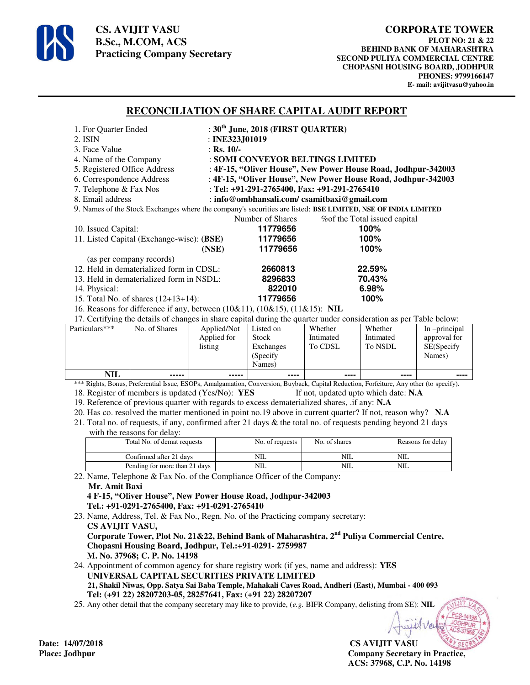

**CS. AVIJIT VASU B.Sc., M.COM, ACS Practicing Company Secretary** 

### **RECONCILIATION OF SHARE CAPITAL AUDIT REPORT**

| 1. For Quarter Ended                                                                                              | : $30th$ June, 2018 (FIRST QUARTER)                           |                               |  |  |  |
|-------------------------------------------------------------------------------------------------------------------|---------------------------------------------------------------|-------------------------------|--|--|--|
| 2. ISIN                                                                                                           | : INE323, $J01019$                                            |                               |  |  |  |
| 3. Face Value                                                                                                     | : Rs. $10/-$                                                  |                               |  |  |  |
| 4. Name of the Company                                                                                            | : SOMI CONVEYOR BELTINGS LIMITED                              |                               |  |  |  |
| 5. Registered Office Address                                                                                      | : 4F-15, "Oliver House", New Power House Road, Jodhpur-342003 |                               |  |  |  |
| 6. Correspondence Address                                                                                         | : 4F-15, "Oliver House", New Power House Road, Jodhpur-342003 |                               |  |  |  |
| 7. Telephone & Fax Nos                                                                                            | : Tel: +91-291-2765400, Fax: +91-291-2765410                  |                               |  |  |  |
| 8. Email address                                                                                                  | : info@ombhansali.com/ csamitbaxi@gmail.com                   |                               |  |  |  |
| 9. Names of the Stock Exchanges where the company's securities are listed: BSE LIMITED, NSE OF INDIA LIMITED      |                                                               |                               |  |  |  |
|                                                                                                                   | Number of Shares                                              | % of the Total issued capital |  |  |  |
| 10. Issued Capital:                                                                                               | 11779656                                                      | 100%                          |  |  |  |
| 11. Listed Capital (Exchange-wise): (BSE)                                                                         | 11779656                                                      | 100%                          |  |  |  |
|                                                                                                                   | 11779656<br>(NSE)                                             | 100%                          |  |  |  |
| (as per company records)                                                                                          |                                                               |                               |  |  |  |
| 12. Held in dematerialized form in CDSL:                                                                          | 2660813                                                       | 22.59%                        |  |  |  |
| 13. Held in dematerialized form in NSDL:                                                                          | 8296833                                                       | 70.43%                        |  |  |  |
| 14. Physical:                                                                                                     | 822010                                                        | 6.98%                         |  |  |  |
| 15. Total No. of shares $(12+13+14)$ :                                                                            | 11779656                                                      | 100%                          |  |  |  |
| 16. Reasons for difference if any, between $(10\&11)$ , $(10\&15)$ , $(11\&15)$ : NIL                             |                                                               |                               |  |  |  |
| 17. Certifying the details of changes in share capital during the quarter under consideration as per Table below: |                                                               |                               |  |  |  |

|                |               |             | ັ         |           |           |               |
|----------------|---------------|-------------|-----------|-----------|-----------|---------------|
| Particulars*** | No. of Shares | Applied/Not | Listed on | Whether   | Whether   | In -principal |
|                |               | Applied for | Stock     | Intimated | Intimated | approval for  |
|                |               | listing     | Exchanges | To CDSL   | To NSDL   | SE(Specify    |
|                |               |             | (Specify) |           |           | Names)        |
|                |               |             | Names)    |           |           |               |
| NIL            | $- - - - -$   | -----       | ----      | ----      | ----      | ----          |

\*\*\* Rights, Bonus, Preferential Issue, ESOPs, Amalgamation, Conversion, Buyback, Capital Reduction, Forfeiture, Any other (to specify). 18. Register of members is updated (Yes/No): **YES** If not, updated upto which date: **N.A** 

19. Reference of previous quarter with regards to excess dematerialized shares, .if any: **N.A**

- 20. Has co. resolved the matter mentioned in point no.19 above in current quarter? If not, reason why? **N.A**
- 21. Total no. of requests, if any, confirmed after 21 days & the total no. of requests pending beyond 21 days with the reasons for delay:

| Total No. of demat requests   | No. of requests | No. of shares | Reasons for delay |
|-------------------------------|-----------------|---------------|-------------------|
| Confirmed after 21 days       | NIL             | NIL           | NΙL               |
| Pending for more than 21 days | NIL             | NIL           | NΙL               |

22. Name, Telephone & Fax No. of the Compliance Officer of the Company: **Mr. Amit Baxi** 

 **4 F-15, "Oliver House", New Power House Road, Jodhpur-342003 Tel.: +91-0291-2765400, Fax: +91-0291-2765410** 

23. Name, Address, Tel. & Fax No., Regn. No. of the Practicing company secretary:  **CS AVIJIT VASU, Corporate Tower, Plot No. 21&22, Behind Bank of Maharashtra, 2nd Puliya Commercial Centre,** 

 **Chopasni Housing Board, Jodhpur, Tel.:+91-0291- 2759987 M. No. 37968; C. P. No. 14198** 

24. Appointment of common agency for share registry work (if yes, name and address): **YES UNIVERSAL CAPITAL SECURITIES PRIVATE LIMITED 21, Shakil Niwas, Opp. Satya Sai Baba Temple, Mahakali Caves Road, Andheri (East), Mumbai - 400 093 Tel: (+91 22) 28207203-05, 28257641, Fax: (+91 22) 28207207**

25. Any other detail that the company secretary may like to provide, (*e.g.* BIFR Company, delisting from SE): **NIL**

**CS AVIJIT VASU Place: Jodhpur Company Secretary in Practice, ACS: 37968, C.P. No. 14198** 

Date: 14/07/2018